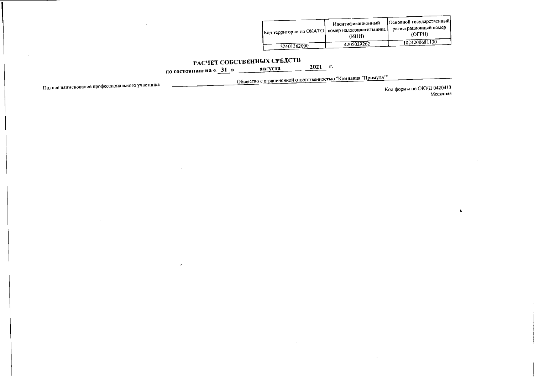| 1 Код территории по ОКАТО <sup>1</sup> номер налогоплательщика | Идентификационный<br>(HHH) | Основной государственный<br>регистрационный номер<br>(OFPH) |  |
|----------------------------------------------------------------|----------------------------|-------------------------------------------------------------|--|
| 32401362000                                                    | 4205029262                 | 1024200681130                                               |  |

## РАСЧЕТ СОБСТВЕННЫХ СРЕДСТВ

по состоянию на « $31$ » августа

 $\ddot{\phantom{0}}$ 

Общество с ограниченной ответственностью "Компания "Примула""

 $2021$  r.

Полное наименование профессионального участника

Код формы по ОКУД 0420413 Месячная

 $\mathbf{A} = \mathbf{A}$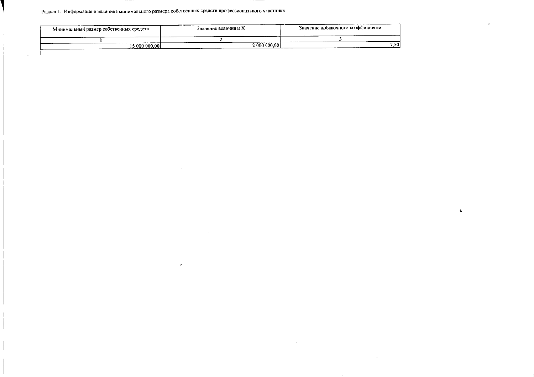## Раздел 1. Информация о величине минимального размера собственных средств профессионального участника

 $\sim 10$ 

 $\hat{\phantom{a}}$ 

 $\sim$ 

 $\sim 10^{-1}$ 

 $\sim 10^7$ 

 $\mathcal{A}^{\mathcal{A}}$ 

 $\overline{\phantom{a}}$ 

| Минимальный размер собственных средств | значение величины Х<br>. | Значение добавочного коэффициента |
|----------------------------------------|--------------------------|-----------------------------------|
|                                        |                          |                                   |
| 15 000 000.001                         | 2.000.000.001            | 7.50                              |

 $\psi$ 

 $\sim$   $\alpha$ 

 $\Delta$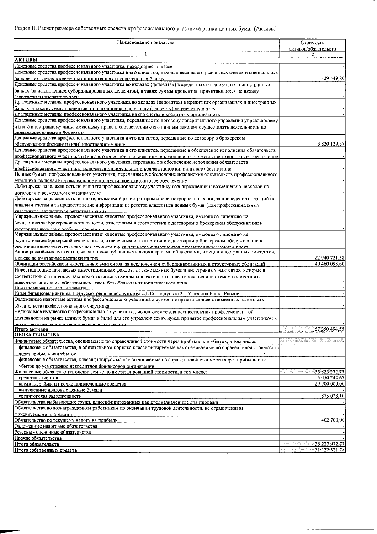## Раздел II. Расчет размера собственных средств профессионального участника рынка ценных бумаг (Активы)

| Наименование показателя                                                                                                                                                                                              | Стоимость                              |
|----------------------------------------------------------------------------------------------------------------------------------------------------------------------------------------------------------------------|----------------------------------------|
|                                                                                                                                                                                                                      | активов/обязательств<br>2              |
| <b>АКТИВЫ</b>                                                                                                                                                                                                        |                                        |
| Денежные средства профессионального участника, находящиеся в кассе                                                                                                                                                   |                                        |
| Денежные средства профессионального участника и его клиентов, находящиеся на его разчетных счетах и специальных                                                                                                      |                                        |
| банковских счетах в кредитных организациях и иностранных банках                                                                                                                                                      | 129 549,80                             |
| Денежные средства профессионального участника во вкладах (депозитах) в кредитных организациях и иностранных<br>банках (за исключением субординированных депозитов), а также суммы процентов, причитающихся по вкладу |                                        |
| (ленозиту) на наснетную пату-                                                                                                                                                                                        |                                        |
| Драгоценные металлы профессионального участника во вкладах (депозитах) в кредитных организациях и иностранных                                                                                                        |                                        |
| банках, а также суммы процентов, причитающихся по вкладу (депозиту) на расчетную дату<br>Драгоценные металлы профессионального участника на его счетах в кредитных организациях                                      |                                        |
| Денежные средства профессионального участника, переданные по договору доверительного управления управляющему                                                                                                         |                                        |
| и (или) иностранному лицу, имеющему право в соответствии с его личным законом осуществлять деятельность по                                                                                                           |                                        |
| мпиавленных ненными бумагами<br>Денежные средства профессионального участника и его клиентов, переданные по договору о брокерском                                                                                    |                                        |
| обслуживании брокеру и (или) иностранному лицу                                                                                                                                                                       | 3 820 129,57                           |
| .<br> Денежные средства профессионального участника и его клиентов, переданные в обеспечение исполнения обязательств                                                                                                 |                                        |
| профессионального участника и (или) его клиентов, включая индивидуальное и коллективное клиринговое обеспечение                                                                                                      |                                        |
| Драгоценные металлы профессионального участника, переданные в обеспечение исполнения обязательств                                                                                                                    |                                        |
| профессионального участника, включая индивидуальное и коллективное клипинговое обеспечение                                                                                                                           |                                        |
| Ценные бумаги профессионального участника, переданные в обеспечение исполнения обязательств профессионального<br>участника, включая индивидуальное и коллективное клиринговое обеспечение                            |                                        |
| Дебиторская задолженность по выплате профессиональному участнику вознаграждений и возмещению расходов по                                                                                                             |                                        |
| договорам о возмездном оказании услуг                                                                                                                                                                                |                                        |
| Дебиторская задолженность по плате, взимаемой регистратором с зарегистрированных лиц за проведение операций по                                                                                                       |                                        |
| лицевым счетам и за предоставление информации из реестра владельцев ценных бумаг (для профессиональных                                                                                                               |                                        |
| миястников являющихся регистраторами).<br>Маржинальные займы, предоставленные клиентам профессионального участника, имеющего лицензию на                                                                             |                                        |
| осуществление брокерской деятельности, отнесенным в соответствии с договором о брокерском обслуживании к                                                                                                             |                                        |
| хатегории клиентов с особым уповнем риска.                                                                                                                                                                           |                                        |
| Маржинальные займы, предоставленные клиентам профессионального участника, имеющего лицензию на<br>осуществление брокерской деятельности, отнесенным в соответствии с договором о брокерском обслуживании к           |                                        |
| иатеговии канентов со стандавтики увовнем диска или категовии клиентов с повышенным увовнем виска                                                                                                                    |                                        |
| Акции российских эмитентов, являющихся публичными акционерными обществами, и акции иностранных эмитентов,                                                                                                            |                                        |
| а также депозитарные расписки на них                                                                                                                                                                                 | 22 940 721,58                          |
| Облигации российских и иностранных эмитентов, за исключением субординированных и структурных облигаций                                                                                                               | 40 460 093,60                          |
| Инвестиционные паи паевых инвестиционных фондов, а также ценные бумаги иностранных эмитентов, которые в<br>соответствии с их личным законом относятся к схемам коллективного инвестирования или схемам совместного   |                                        |
| инвестивования как с образованием, так и без образования корилинеского пина                                                                                                                                          |                                        |
| Ипотечные сертификаты участия                                                                                                                                                                                        |                                        |
| Иные финансовые активы, предусмотренные подпунктом 2.1.15 подпункта 2.1 Указания Банка России                                                                                                                        |                                        |
| Отложенные налоговые активы профессионального участника в сумме, не превышающей отложенных налоговых<br>обязательств профессионального участника                                                                     |                                        |
| Недвижимое имущество профессионального участника, используемое для осуществления профессиональной                                                                                                                    |                                        |
| деятельности на рынке ценных бумаг и (или) для его управленческих нужд, принятое профессиональным участником к                                                                                                       |                                        |
| бухгалтерскому учету в качестве основных средств                                                                                                                                                                     |                                        |
| Итого активов<br><b>ОБЯЗАТЕЛЬСТВА</b>                                                                                                                                                                                | 67 350 494,55                          |
| Финансовые обязательства, оцениваемые по справедливой стоимости через прибыль или убыток, в том числе:                                                                                                               |                                        |
| финансовые обязательства, в обязательном порядке классифицируемые как оцениваемые по справедливой стоимости                                                                                                          |                                        |
| через прибыль или убыток                                                                                                                                                                                             |                                        |
| финансовые обязательства, классифицируемые как оцениваемые по справедливой стоимости через прибыль или                                                                                                               |                                        |
| убыток по усмотрению некредитной финансовой организации<br>Финансовые обязательства, оцениваемые по амортизированной стоимости, в том числе:                                                                         | 35 825 272,77<br>i veri artistatut man |
| средства клиентов                                                                                                                                                                                                    | 5 050 244,67                           |
| кредиты, займы и прочие привлеченные средства                                                                                                                                                                        | 29 900 000,00                          |
| выпущенные долговые ценные бумаги                                                                                                                                                                                    |                                        |
| кредиторская задолженность<br>Обязательства выбывающих групп, классифицированных как предназначенные для продажи                                                                                                     | 875 028,10                             |
| Обязательства по вознаграждениям работникам по окончании трудовой деятельности, не ограниченным                                                                                                                      |                                        |
| фиксируемыми платежами                                                                                                                                                                                               |                                        |
| Обязательство по текущему налогу на прибыль                                                                                                                                                                          | 402 700,00                             |
| Огложенные налоговые обязательства                                                                                                                                                                                   |                                        |
| Резервы - оценочные обязательства<br>Прочие обязательства                                                                                                                                                            |                                        |
| Итого обязательств                                                                                                                                                                                                   | 36 227 972,77                          |
| Итого собственных средств                                                                                                                                                                                            | 31.122.521.78                          |

 $\overline{\phantom{a}}$